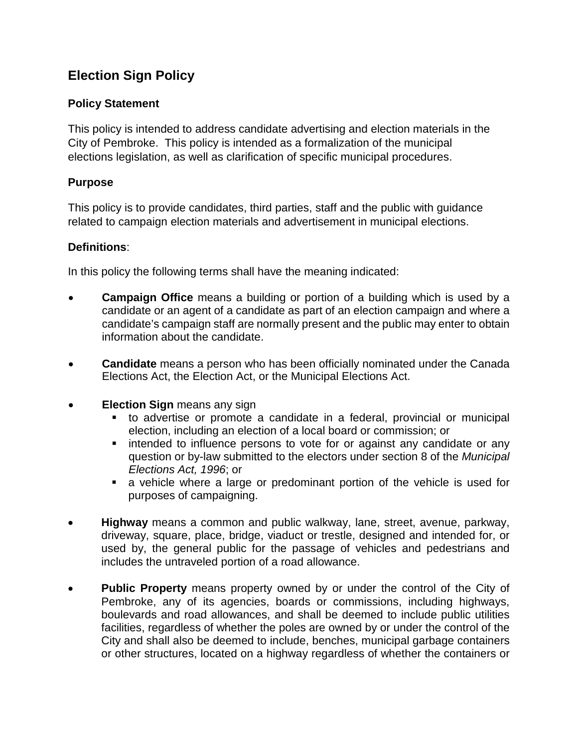# **Election Sign Policy**

## **Policy Statement**

This policy is intended to address candidate advertising and election materials in the City of Pembroke. This policy is intended as a formalization of the municipal elections legislation, as well as clarification of specific municipal procedures.

### **Purpose**

This policy is to provide candidates, third parties, staff and the public with guidance related to campaign election materials and advertisement in municipal elections.

### **Definitions**:

In this policy the following terms shall have the meaning indicated:

- **Campaign Office** means a building or portion of a building which is used by a candidate or an agent of a candidate as part of an election campaign and where a candidate's campaign staff are normally present and the public may enter to obtain information about the candidate.
- **Candidate** means a person who has been officially nominated under the Canada Elections Act, the Election Act, or the Municipal Elections Act.
- **Election Sign** means any sign
	- to advertise or promote a candidate in a federal, provincial or municipal election, including an election of a local board or commission; or
	- **EXT** intended to influence persons to vote for or against any candidate or any question or by-law submitted to the electors under section 8 of the *Municipal Elections Act, 1996*; or
	- a vehicle where a large or predominant portion of the vehicle is used for purposes of campaigning.
- **Highway** means a common and public walkway, lane, street, avenue, parkway, driveway, square, place, bridge, viaduct or trestle, designed and intended for, or used by, the general public for the passage of vehicles and pedestrians and includes the untraveled portion of a road allowance.
- **Public Property** means property owned by or under the control of the City of Pembroke, any of its agencies, boards or commissions, including highways, boulevards and road allowances, and shall be deemed to include public utilities facilities, regardless of whether the poles are owned by or under the control of the City and shall also be deemed to include, benches, municipal garbage containers or other structures, located on a highway regardless of whether the containers or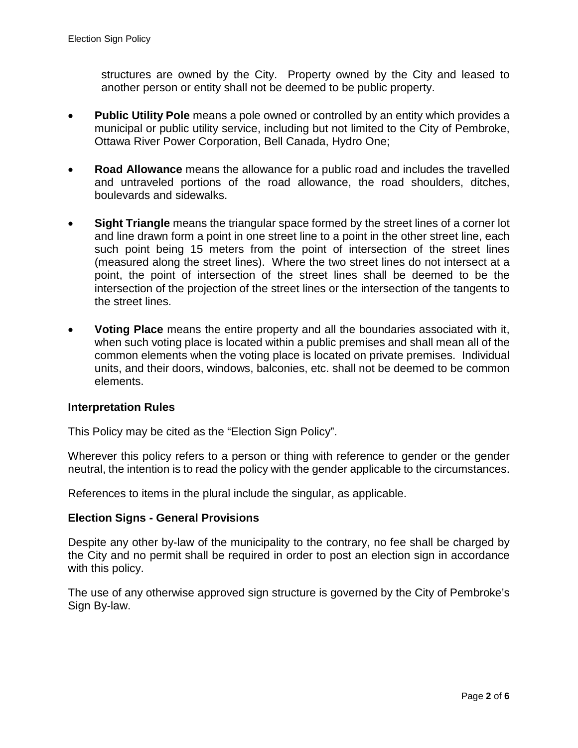structures are owned by the City. Property owned by the City and leased to another person or entity shall not be deemed to be public property.

- **Public Utility Pole** means a pole owned or controlled by an entity which provides a municipal or public utility service, including but not limited to the City of Pembroke, Ottawa River Power Corporation, Bell Canada, Hydro One;
- **Road Allowance** means the allowance for a public road and includes the travelled and untraveled portions of the road allowance, the road shoulders, ditches, boulevards and sidewalks.
- **Sight Triangle** means the triangular space formed by the street lines of a corner lot and line drawn form a point in one street line to a point in the other street line, each such point being 15 meters from the point of intersection of the street lines (measured along the street lines). Where the two street lines do not intersect at a point, the point of intersection of the street lines shall be deemed to be the intersection of the projection of the street lines or the intersection of the tangents to the street lines.
- **Voting Place** means the entire property and all the boundaries associated with it, when such voting place is located within a public premises and shall mean all of the common elements when the voting place is located on private premises. Individual units, and their doors, windows, balconies, etc. shall not be deemed to be common elements.

### **Interpretation Rules**

This Policy may be cited as the "Election Sign Policy".

Wherever this policy refers to a person or thing with reference to gender or the gender neutral, the intention is to read the policy with the gender applicable to the circumstances.

References to items in the plural include the singular, as applicable.

### **Election Signs - General Provisions**

Despite any other by-law of the municipality to the contrary, no fee shall be charged by the City and no permit shall be required in order to post an election sign in accordance with this policy.

The use of any otherwise approved sign structure is governed by the City of Pembroke's Sign By-law.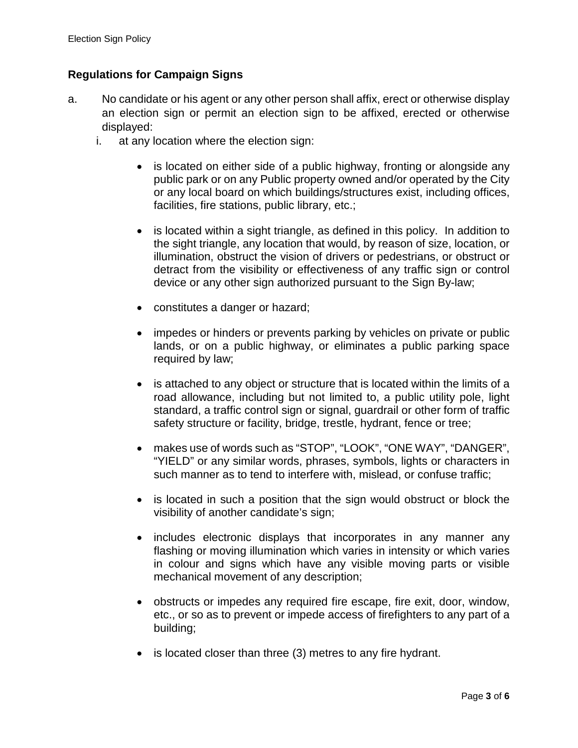### **Regulations for Campaign Signs**

- a. No candidate or his agent or any other person shall affix, erect or otherwise display an election sign or permit an election sign to be affixed, erected or otherwise displayed:
	- i. at any location where the election sign:
		- is located on either side of a public highway, fronting or alongside any public park or on any Public property owned and/or operated by the City or any local board on which buildings/structures exist, including offices, facilities, fire stations, public library, etc.;
		- is located within a sight triangle, as defined in this policy. In addition to the sight triangle, any location that would, by reason of size, location, or illumination, obstruct the vision of drivers or pedestrians, or obstruct or detract from the visibility or effectiveness of any traffic sign or control device or any other sign authorized pursuant to the Sign By-law;
		- constitutes a danger or hazard;
		- impedes or hinders or prevents parking by vehicles on private or public lands, or on a public highway, or eliminates a public parking space required by law;
		- is attached to any object or structure that is located within the limits of a road allowance, including but not limited to, a public utility pole, light standard, a traffic control sign or signal, guardrail or other form of traffic safety structure or facility, bridge, trestle, hydrant, fence or tree;
		- makes use of words such as "STOP", "LOOK", "ONE WAY", "DANGER", "YIELD" or any similar words, phrases, symbols, lights or characters in such manner as to tend to interfere with, mislead, or confuse traffic;
		- is located in such a position that the sign would obstruct or block the visibility of another candidate's sign;
		- includes electronic displays that incorporates in any manner any flashing or moving illumination which varies in intensity or which varies in colour and signs which have any visible moving parts or visible mechanical movement of any description;
		- obstructs or impedes any required fire escape, fire exit, door, window, etc., or so as to prevent or impede access of firefighters to any part of a building;
		- is located closer than three (3) metres to any fire hydrant.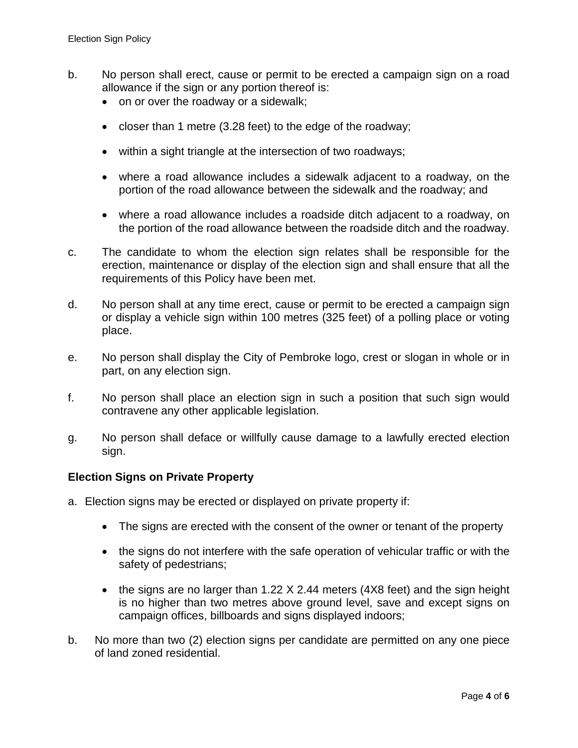- b. No person shall erect, cause or permit to be erected a campaign sign on a road allowance if the sign or any portion thereof is:
	- on or over the roadway or a sidewalk;
	- closer than 1 metre (3.28 feet) to the edge of the roadway;
	- within a sight triangle at the intersection of two roadways;
	- where a road allowance includes a sidewalk adjacent to a roadway, on the portion of the road allowance between the sidewalk and the roadway; and
	- where a road allowance includes a roadside ditch adjacent to a roadway, on the portion of the road allowance between the roadside ditch and the roadway.
- c. The candidate to whom the election sign relates shall be responsible for the erection, maintenance or display of the election sign and shall ensure that all the requirements of this Policy have been met.
- d. No person shall at any time erect, cause or permit to be erected a campaign sign or display a vehicle sign within 100 metres (325 feet) of a polling place or voting place.
- e. No person shall display the City of Pembroke logo, crest or slogan in whole or in part, on any election sign.
- f. No person shall place an election sign in such a position that such sign would contravene any other applicable legislation.
- g. No person shall deface or willfully cause damage to a lawfully erected election sign.

### **Election Signs on Private Property**

- a. Election signs may be erected or displayed on private property if:
	- The signs are erected with the consent of the owner or tenant of the property
	- the signs do not interfere with the safe operation of vehicular traffic or with the safety of pedestrians;
	- the signs are no larger than 1.22 X 2.44 meters (4X8 feet) and the sign height is no higher than two metres above ground level, save and except signs on campaign offices, billboards and signs displayed indoors;
- b. No more than two (2) election signs per candidate are permitted on any one piece of land zoned residential.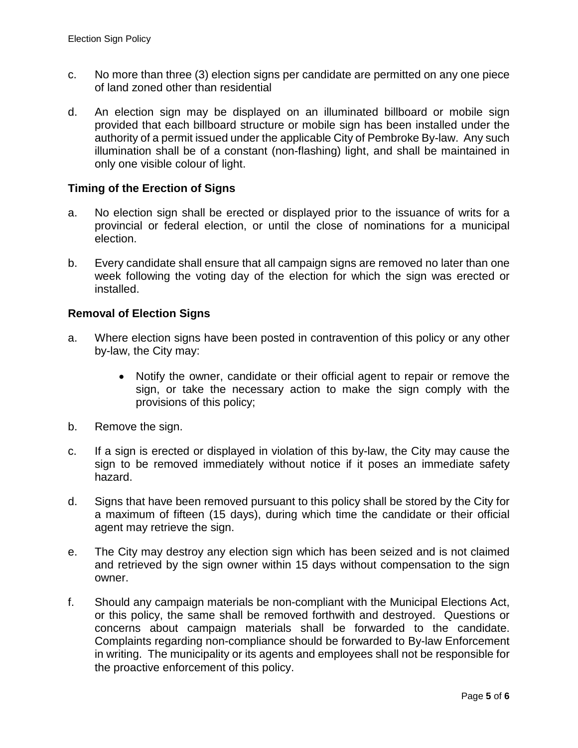- c. No more than three (3) election signs per candidate are permitted on any one piece of land zoned other than residential
- d. An election sign may be displayed on an illuminated billboard or mobile sign provided that each billboard structure or mobile sign has been installed under the authority of a permit issued under the applicable City of Pembroke By-law. Any such illumination shall be of a constant (non-flashing) light, and shall be maintained in only one visible colour of light.

### **Timing of the Erection of Signs**

- a. No election sign shall be erected or displayed prior to the issuance of writs for a provincial or federal election, or until the close of nominations for a municipal election.
- b. Every candidate shall ensure that all campaign signs are removed no later than one week following the voting day of the election for which the sign was erected or installed.

### **Removal of Election Signs**

- a. Where election signs have been posted in contravention of this policy or any other by-law, the City may:
	- Notify the owner, candidate or their official agent to repair or remove the sign, or take the necessary action to make the sign comply with the provisions of this policy;
- b. Remove the sign.
- c. If a sign is erected or displayed in violation of this by-law, the City may cause the sign to be removed immediately without notice if it poses an immediate safety hazard.
- d. Signs that have been removed pursuant to this policy shall be stored by the City for a maximum of fifteen (15 days), during which time the candidate or their official agent may retrieve the sign.
- e. The City may destroy any election sign which has been seized and is not claimed and retrieved by the sign owner within 15 days without compensation to the sign owner.
- f. Should any campaign materials be non-compliant with the Municipal Elections Act, or this policy, the same shall be removed forthwith and destroyed. Questions or concerns about campaign materials shall be forwarded to the candidate. Complaints regarding non-compliance should be forwarded to By-law Enforcement in writing. The municipality or its agents and employees shall not be responsible for the proactive enforcement of this policy.